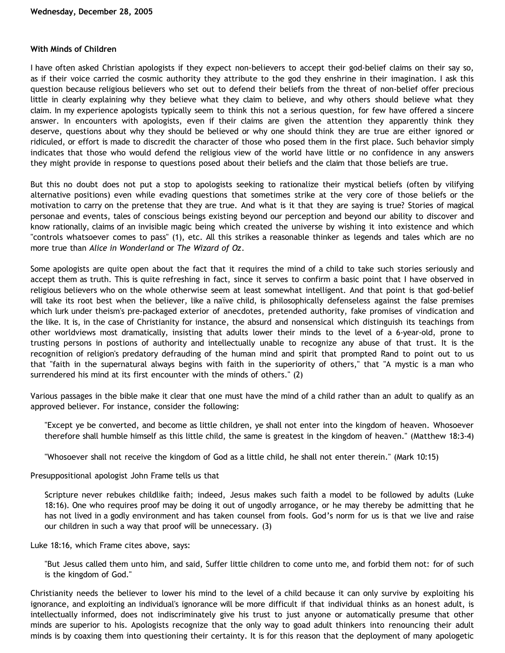## **With Minds of Children**

I have often asked Christian apologists if they expect non-believers to accept their god-belief claims on their say so, as if their voice carried the cosmic authority they attribute to the god they enshrine in their imagination. I ask this question because religious believers who set out to defend their beliefs from the threat of non-belief offer precious little in clearly explaining why they believe what they claim to believe, and why others should believe what they claim. In my experience apologists typically seem to think this not a serious question, for few have offered a sincere answer. In encounters with apologists, even if their claims are given the attention they apparently think they deserve, questions about why they should be believed or why one should think they are true are either ignored or ridiculed, or effort is made to discredit the character of those who posed them in the first place. Such behavior simply indicates that those who would defend the religious view of the world have little or no confidence in any answers they might provide in response to questions posed about their beliefs and the claim that those beliefs are true.

But this no doubt does not put a stop to apologists seeking to rationalize their mystical beliefs (often by vilifying alternative positions) even while evading questions that sometimes strike at the very core of those beliefs or the motivation to carry on the pretense that they are true. And what is it that they are saying is true? Stories of magical personae and events, tales of conscious beings existing beyond our perception and beyond our ability to discover and know rationally, claims of an invisible magic being which created the universe by wishing it into existence and which "controls whatsoever comes to pass" (1), etc. All this strikes a reasonable thinker as legends and tales which are no more true than *Alice in Wonderland* or *The Wizard of Oz*.

Some apologists are quite open about the fact that it requires the mind of a child to take such stories seriously and accept them as truth. This is quite refreshing in fact, since it serves to confirm a basic point that I have observed in religious believers who on the whole otherwise seem at least somewhat intelligent. And that point is that god-belief will take its root best when the believer, like a naïve child, is philosophically defenseless against the false premises which lurk under theism's pre-packaged exterior of anecdotes, pretended authority, fake promises of vindication and the like. It is, in the case of Christianity for instance, the absurd and nonsensical which distinguish its teachings from other worldviews most dramatically, insisting that adults lower their minds to the level of a 6-year-old, prone to trusting persons in postions of authority and intellectually unable to recognize any abuse of that trust. It is the recognition of religion's predatory defrauding of the human mind and spirit that prompted Rand to point out to us that "faith in the supernatural always begins with faith in the superiority of others," that "A mystic is a man who surrendered his mind at its first encounter with the minds of others." (2)

Various passages in the bible make it clear that one must have the mind of a child rather than an adult to qualify as an approved believer. For instance, consider the following:

"Except ye be converted, and become as little children, ye shall not enter into the kingdom of heaven. Whosoever therefore shall humble himself as this little child, the same is greatest in the kingdom of heaven." (Matthew 18:3-4)

"Whosoever shall not receive the kingdom of God as a little child, he shall not enter therein." (Mark 10:15)

Presuppositional apologist John Frame tells us that

Scripture never rebukes childlike faith; indeed, Jesus makes such faith a model to be followed by adults (Luke 18:16). One who requires proof may be doing it out of ungodly arrogance, or he may thereby be admitting that he has not lived in a godly environment and has taken counsel from fools. God's norm for us is that we live and raise our children in such a way that proof will be unnecessary. (3)

Luke 18:16, which Frame cites above, says:

"But Jesus called them unto him, and said, Suffer little children to come unto me, and forbid them not: for of such is the kingdom of God."

Christianity needs the believer to lower his mind to the level of a child because it can only survive by exploiting his ignorance, and exploiting an individual's ignorance will be more difficult if that individual thinks as an honest adult, is intellectually informed, does not indiscriminately give his trust to just anyone or automatically presume that other minds are superior to his. Apologists recognize that the only way to goad adult thinkers into renouncing their adult minds is by coaxing them into questioning their certainty. It is for this reason that the deployment of many apologetic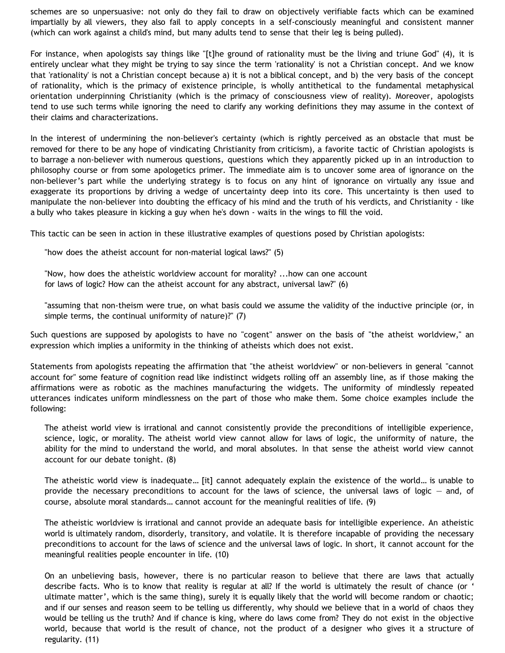schemes are so unpersuasive: not only do they fail to draw on objectively verifiable facts which can be examined impartially by all viewers, they also fail to apply concepts in a self-consciously meaningful and consistent manner (which can work against a child's mind, but many adults tend to sense that their leg is being pulled).

For instance, when apologists say things like "[t]he ground of rationality must be the living and triune God" (4), it is entirely unclear what they might be trying to say since the term 'rationality' is not a Christian concept. And we know that 'rationality' is not a Christian concept because a) it is not a biblical concept, and b) the very basis of the concept of rationality, which is the primacy of existence principle, is wholly antithetical to the fundamental metaphysical orientation underpinning Christianity (which is the primacy of consciousness view of reality). Moreover, apologists tend to use such terms while ignoring the need to clarify any working definitions they may assume in the context of their claims and characterizations.

In the interest of undermining the non-believer's certainty (which is rightly perceived as an obstacle that must be removed for there to be any hope of vindicating Christianity from criticism), a favorite tactic of Christian apologists is to barrage a non-believer with numerous questions, questions which they apparently picked up in an introduction to philosophy course or from some apologetics primer. The immediate aim is to uncover some area of ignorance on the non-believer's part while the underlying strategy is to focus on any hint of ignorance on virtually any issue and exaggerate its proportions by driving a wedge of uncertainty deep into its core. This uncertainty is then used to manipulate the non-believer into doubting the efficacy of his mind and the truth of his verdicts, and Christianity - like a bully who takes pleasure in kicking a guy when he's down - waits in the wings to fill the void.

This tactic can be seen in action in these illustrative examples of questions posed by Christian apologists:

"how does the atheist account for non-material logical laws?" (5)

"Now, how does the atheistic worldview account for morality? ...how can one account for laws of logic? How can the atheist account for any abstract, universal law?" (6)

"assuming that non-theism were true, on what basis could we assume the validity of the inductive principle (or, in simple terms, the continual uniformity of nature)?" (7)

Such questions are supposed by apologists to have no "cogent" answer on the basis of "the atheist worldview," an expression which implies a uniformity in the thinking of atheists which does not exist.

Statements from apologists repeating the affirmation that "the atheist worldview" or non-believers in general "cannot account for" some feature of cognition read like indistinct widgets rolling off an assembly line, as if those making the affirmations were as robotic as the machines manufacturing the widgets. The uniformity of mindlessly repeated utterances indicates uniform mindlessness on the part of those who make them. Some choice examples include the following:

The atheist world view is irrational and cannot consistently provide the preconditions of intelligible experience, science, logic, or morality. The atheist world view cannot allow for laws of logic, the uniformity of nature, the ability for the mind to understand the world, and moral absolutes. In that sense the atheist world view cannot account for our debate tonight. (8)

The atheistic world view is inadequate… [it] cannot adequately explain the existence of the world… is unable to provide the necessary preconditions to account for the laws of science, the universal laws of logic — and, of course, absolute moral standards… cannot account for the meaningful realities of life. (9)

The atheistic worldview is irrational and cannot provide an adequate basis for intelligible experience. An atheistic world is ultimately random, disorderly, transitory, and volatile. It is therefore incapable of providing the necessary preconditions to account for the laws of science and the universal laws of logic. In short, it cannot account for the meaningful realities people encounter in life. (10)

On an unbelieving basis, however, there is no particular reason to believe that there are laws that actually describe facts. Who is to know that reality is regular at all? If the world is ultimately the result of chance (or ' ultimate matter', which is the same thing), surely it is equally likely that the world will become random or chaotic; and if our senses and reason seem to be telling us differently, why should we believe that in a world of chaos they would be telling us the truth? And if chance is king, where do laws come from? They do not exist in the objective world, because that world is the result of chance, not the product of a designer who gives it a structure of regularity. (11)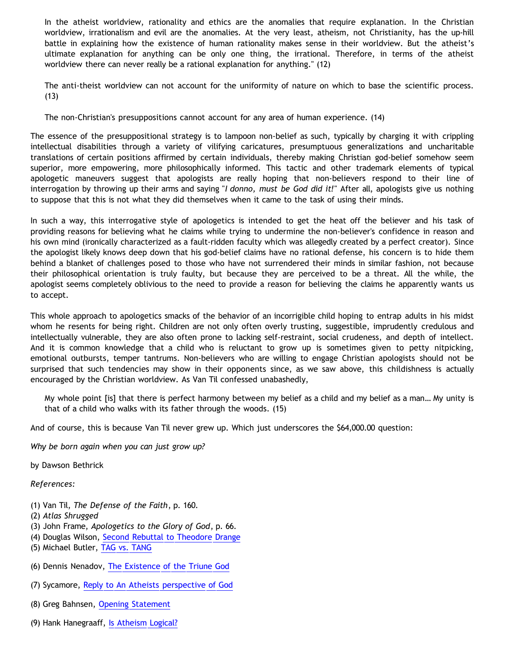In the atheist worldview, rationality and ethics are the anomalies that require explanation. In the Christian worldview, irrationalism and evil are the anomalies. At the very least, atheism, not Christianity, has the up-hill battle in explaining how the existence of human rationality makes sense in their worldview. But the atheist's ultimate explanation for anything can be only one thing, the irrational. Therefore, in terms of the atheist worldview there can never really be a rational explanation for anything." (12)

The anti-theist worldview can not account for the uniformity of nature on which to base the scientific process.  $(13)$ 

The non-Christian's presuppositions cannot account for any area of human experience. (14)

The essence of the presuppositional strategy is to lampoon non-belief as such, typically by charging it with crippling intellectual disabilities through a variety of vilifying caricatures, presumptuous generalizations and uncharitable translations of certain positions affirmed by certain individuals, thereby making Christian god-belief somehow seem superior, more empowering, more philosophically informed. This tactic and other trademark elements of typical apologetic maneuvers suggest that apologists are really hoping that non-believers respond to their line of interrogation by throwing up their arms and saying "*I donno, must be God did it!*" After all, apologists give us nothing to suppose that this is not what they did themselves when it came to the task of using their minds.

In such a way, this interrogative style of apologetics is intended to get the heat off the believer and his task of providing reasons for believing what he claims while trying to undermine the non-believer's confidence in reason and his own mind (ironically characterized as a fault-ridden faculty which was allegedly created by a perfect creator). Since the apologist likely knows deep down that his god-belief claims have no rational defense, his concern is to hide them behind a blanket of challenges posed to those who have not surrendered their minds in similar fashion, not because their philosophical orientation is truly faulty, but because they are perceived to be a threat. All the while, the apologist seems completely oblivious to the need to provide a reason for believing the claims he apparently wants us to accept.

This whole approach to apologetics smacks of the behavior of an incorrigible child hoping to entrap adults in his midst whom he resents for being right. Children are not only often overly trusting, suggestible, imprudently credulous and intellectually vulnerable, they are also often prone to lacking self-restraint, social crudeness, and depth of intellect. And it is common knowledge that a child who is reluctant to grow up is sometimes given to petty nitpicking, emotional outbursts, temper tantrums. Non-believers who are willing to engage Christian apologists should not be surprised that such tendencies may show in their opponents since, as we saw above, this childishness is actually encouraged by the Christian worldview. As Van Til confessed unabashedly,

My whole point [is] that there is perfect harmony between my belief as a child and my belief as a man… My unity is that of a child who walks with its father through the woods. (15)

And of course, this is because Van Til never grew up. Which just underscores the \$64,000.00 question:

*Why be born again when you can just grow up?*

by Dawson Bethrick

*References:*

- (1) Van Til, *The Defense of the Faith*, p. 160.
- (2) *Atlas Shrugged*
- (3) John Frame, *Apologetics to the Glory of God*, p. 66.
- (4) Douglas Wilson, [Second Rebuttal to Theodore Drange](http://www.infidels.org/library/modern/douglas_wilson/drange-wilson/wilson3.html)
- (5) Michael Butler, [TAG vs. TANG](http://www.reformed.org/apologetics/martin/pen896.html)
- (6) Dennis Nenadov, [The Existence of the Triune God](http://www3.sympatico.ca/d.d.s/TriuneGod.html)
- (7) Sycamore, [Reply to An Atheists perspective of God](http://www.rottentomatoes.com/vine/archive/index.php/t-398825-p-3)
- (8) Greg Bahnsen, [Opening Statement](http://www.bellevuechristian.org/faculty/dribera/htdocs/PDFs/Apol_Bahnsen_Stein_Debate_Transcript.pdf)
- (9) Hank Hanegraaff, [Is Atheism Logical?](http://www.equip.org/free/CP0110.htm)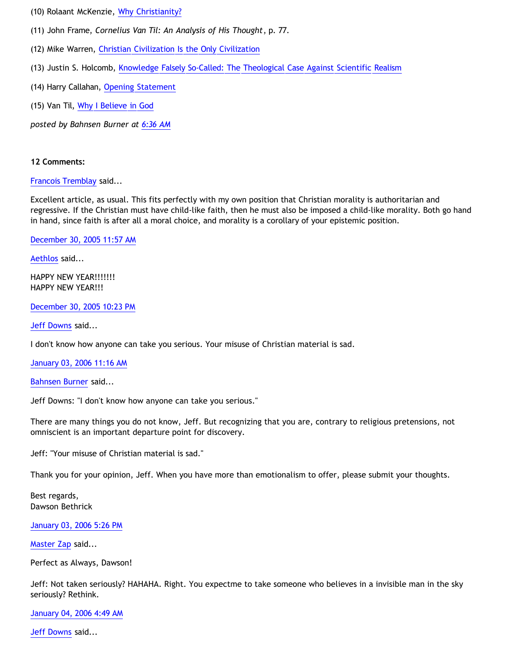- (10) Rolaant McKenzie, [Why Christianity?](http://www.gospeloutreach.net/whychristianity.html)
- (11) John Frame, *Cornelius Van Til: An Analysis of His Thought*, p. 77.
- (12) Mike Warren, [Christian Civilization Is the Only Civilization](http://www.christianciv.com/ChristCivEssay.htm)
- (13) Justin S. Holcomb, [Knowledge Falsely So-Called: The Theological Case Against Scientific Realism](http://www.quodlibet.net/holcomb-realism.shtml)
- (14) Harry Callahan, [Opening Statement](http://www.iidb.org/vbb/archive/index.php/t-80583.html)
- (15) Van Til, [Why I Believe in God](http://www.reformed.org/apologetics/index.html?mainframe=http://www.reformed.org/apologetics/why_I_believe_cvt.html)

*posted by Bahnsen Burner at [6:36 AM](http://bahnsenburner.blogspot.com/2005/12/with-minds-of-children.html)*

## **12 Comments:**

[Francois Tremblay](http://www.blogger.com/profile/7715861) said...

Excellent article, as usual. This fits perfectly with my own position that Christian morality is authoritarian and regressive. If the Christian must have child-like faith, then he must also be imposed a child-like morality. Both go hand in hand, since faith is after all a moral choice, and morality is a corollary of your epistemic position.

[December 30, 2005 11:57 AM](http://bahnsenburner.blogspot.com/2005/12/113597267685744187)

[Aethlos](http://www.blogger.com/profile/9807387) said...

HAPPY NEW YEAR!!!!!!! HAPPY NEW YEAR!!!

[December 30, 2005 10:23 PM](http://bahnsenburner.blogspot.com/2005/12/113601021595844741)

[Jeff Downs](http://www.blogger.com/profile/6804126) said...

I don't know how anyone can take you serious. Your misuse of Christian material is sad.

[January 03, 2006 11:16 AM](http://bahnsenburner.blogspot.com/2005/12/113631577440941545)

[Bahnsen Burner](http://www.blogger.com/profile/7766918) said...

Jeff Downs: "I don't know how anyone can take you serious."

There are many things you do not know, Jeff. But recognizing that you are, contrary to religious pretensions, not omniscient is an important departure point for discovery.

Jeff: "Your misuse of Christian material is sad."

Thank you for your opinion, Jeff. When you have more than emotionalism to offer, please submit your thoughts.

Best regards, Dawson Bethrick

[January 03, 2006 5:26 PM](http://bahnsenburner.blogspot.com/2005/12/113633800125369459)

[Master Zap](http://www.blogger.com/profile/8966265) said...

Perfect as Always, Dawson!

Jeff: Not taken seriously? HAHAHA. Right. You expectme to take someone who believes in a invisible man in the sky seriously? Rethink.

[January 04, 2006 4:49 AM](http://bahnsenburner.blogspot.com/2005/12/113637894960483717)

[Jeff Downs](http://www.blogger.com/profile/6804126) said...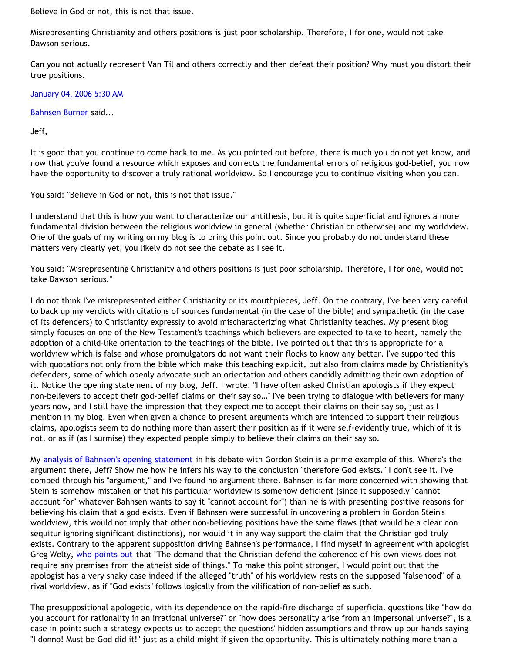Believe in God or not, this is not that issue.

Misrepresenting Christianity and others positions is just poor scholarship. Therefore, I for one, would not take Dawson serious.

Can you not actually represent Van Til and others correctly and then defeat their position? Why must you distort their true positions.

[January 04, 2006 5:30 AM](http://bahnsenburner.blogspot.com/2005/12/113638140749951037)

[Bahnsen Burner](http://www.blogger.com/profile/7766918) said...

Jeff,

It is good that you continue to come back to me. As you pointed out before, there is much you do not yet know, and now that you've found a resource which exposes and corrects the fundamental errors of religious god-belief, you now have the opportunity to discover a truly rational worldview. So I encourage you to continue visiting when you can.

You said: "Believe in God or not, this is not that issue."

I understand that this is how you want to characterize our antithesis, but it is quite superficial and ignores a more fundamental division between the religious worldview in general (whether Christian or otherwise) and my worldview. One of the goals of my writing on my blog is to bring this point out. Since you probably do not understand these matters very clearly yet, you likely do not see the debate as I see it.

You said: "Misrepresenting Christianity and others positions is just poor scholarship. Therefore, I for one, would not take Dawson serious."

I do not think I've misrepresented either Christianity or its mouthpieces, Jeff. On the contrary, I've been very careful to back up my verdicts with citations of sources fundamental (in the case of the bible) and sympathetic (in the case of its defenders) to Christianity expressly to avoid mischaracterizing what Christianity teaches. My present blog simply focuses on one of the New Testament's teachings which believers are expected to take to heart, namely the adoption of a child-like orientation to the teachings of the bible. I've pointed out that this is appropriate for a worldview which is false and whose promulgators do not want their flocks to know any better. I've supported this with quotations not only from the bible which make this teaching explicit, but also from claims made by Christianity's defenders, some of which openly advocate such an orientation and others candidly admitting their own adoption of it. Notice the opening statement of my blog, Jeff. I wrote: "I have often asked Christian apologists if they expect non-believers to accept their god-belief claims on their say so…" I've been trying to dialogue with believers for many years now, and I still have the impression that they expect me to accept their claims on their say so, just as I mention in my blog. Even when given a chance to present arguments which are intended to support their religious claims, apologists seem to do nothing more than assert their position as if it were self-evidently true, which of it is not, or as if (as I surmise) they expected people simply to believe their claims on their say so.

My [analysis of Bahnsen's opening statement](http://bahnsenburner.blogspot.com/2005/03/bahnsens-poof.html) in his debate with Gordon Stein is a prime example of this. Where's the argument there, Jeff? Show me how he infers his way to the conclusion "therefore God exists." I don't see it. I've combed through his "argument," and I've found no argument there. Bahnsen is far more concerned with showing that Stein is somehow mistaken or that his particular worldview is somehow deficient (since it supposedly "cannot account for" whatever Bahnsen wants to say it "cannot account for") than he is with presenting positive reasons for believing his claim that a god exists. Even if Bahnsen were successful in uncovering a problem in Gordon Stein's worldview, this would not imply that other non-believing positions have the same flaws (that would be a clear non sequitur ignoring significant distinctions), nor would it in any way support the claim that the Christian god truly exists. Contrary to the apparent supposition driving Bahnsen's performance, I find myself in agreement with apologist Greg Welty, [who points out](http://www.ccir.ed.ac.uk/~jad/vantil-list/archive-Sep-1999/msg00021.html) that "The demand that the Christian defend the coherence of his own views does not require any premises from the atheist side of things." To make this point stronger, I would point out that the apologist has a very shaky case indeed if the alleged "truth" of his worldview rests on the supposed "falsehood" of a rival worldview, as if "God exists" follows logically from the vilification of non-belief as such.

The presuppositional apologetic, with its dependence on the rapid-fire discharge of superficial questions like "how do you account for rationality in an irrational universe?" or "how does personality arise from an impersonal universe?", is a case in point: such a strategy expects us to accept the questions' hidden assumptions and throw up our hands saying "I donno! Must be God did it!" just as a child might if given the opportunity. This is ultimately nothing more than a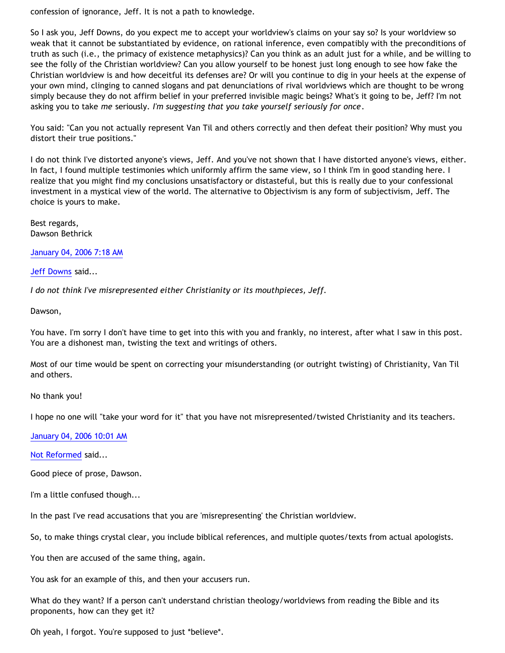confession of ignorance, Jeff. It is not a path to knowledge.

So I ask you, Jeff Downs, do you expect me to accept your worldview's claims on your say so? Is your worldview so weak that it cannot be substantiated by evidence, on rational inference, even compatibly with the preconditions of truth as such (i.e., the primacy of existence metaphysics)? Can you think as an adult just for a while, and be willing to see the folly of the Christian worldview? Can you allow yourself to be honest just long enough to see how fake the Christian worldview is and how deceitful its defenses are? Or will you continue to dig in your heels at the expense of your own mind, clinging to canned slogans and pat denunciations of rival worldviews which are thought to be wrong simply because they do not affirm belief in your preferred invisible magic beings? What's it going to be, Jeff? I'm not asking you to take *me* seriously. *I'm suggesting that you take yourself seriously for once*.

You said: "Can you not actually represent Van Til and others correctly and then defeat their position? Why must you distort their true positions."

I do not think I've distorted anyone's views, Jeff. And you've not shown that I have distorted anyone's views, either. In fact, I found multiple testimonies which uniformly affirm the same view, so I think I'm in good standing here. I realize that you might find my conclusions unsatisfactory or distasteful, but this is really due to your confessional investment in a mystical view of the world. The alternative to Objectivism is any form of subjectivism, Jeff. The choice is yours to make.

Best regards, Dawson Bethrick

[January 04, 2006 7:18 AM](http://bahnsenburner.blogspot.com/2005/12/113638793816409030)

[Jeff Downs](http://www.blogger.com/profile/6804126) said...

*I do not think I've misrepresented either Christianity or its mouthpieces, Jeff.*

Dawson,

You have. I'm sorry I don't have time to get into this with you and frankly, no interest, after what I saw in this post. You are a dishonest man, twisting the text and writings of others.

Most of our time would be spent on correcting your misunderstanding (or outright twisting) of Christianity, Van Til and others.

No thank you!

I hope no one will "take your word for it" that you have not misrepresented/twisted Christianity and its teachers.

[January 04, 2006 10:01 AM](http://bahnsenburner.blogspot.com/2005/12/113639771317695538)

[Not Reformed](http://www.blogger.com/profile/8159639) said...

Good piece of prose, Dawson.

I'm a little confused though...

In the past I've read accusations that you are 'misrepresenting' the Christian worldview.

So, to make things crystal clear, you include biblical references, and multiple quotes/texts from actual apologists.

You then are accused of the same thing, again.

You ask for an example of this, and then your accusers run.

What do they want? If a person can't understand christian theology/worldviews from reading the Bible and its proponents, how can they get it?

Oh yeah, I forgot. You're supposed to just \*believe\*.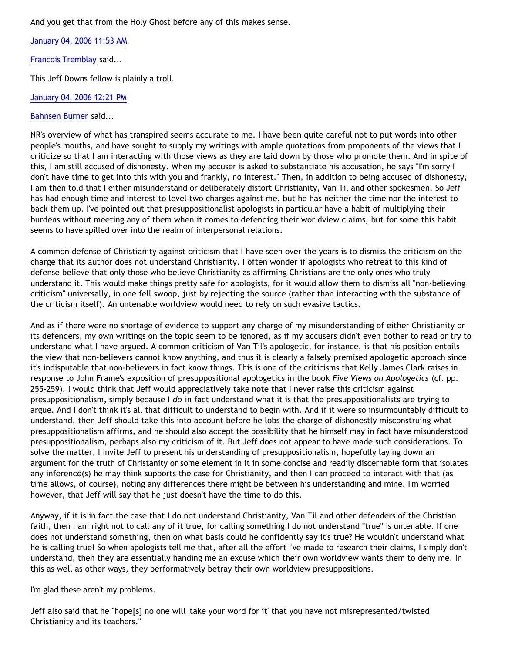And you get that from the Holy Ghost before any of this makes sense.

[January 04, 2006 11:53 AM](http://bahnsenburner.blogspot.com/2005/12/113640441253146299)

[Francois Tremblay](http://www.blogger.com/profile/7715861) said...

This Jeff Downs fellow is plainly a troll.

[January 04, 2006 12:21 PM](http://bahnsenburner.blogspot.com/2005/12/113640607242872787)

## [Bahnsen Burner](http://www.blogger.com/profile/7766918) said...

NR's overview of what has transpired seems accurate to me. I have been quite careful not to put words into other people's mouths, and have sought to supply my writings with ample quotations from proponents of the views that I criticize so that I am interacting with those views as they are laid down by those who promote them. And in spite of this, I am still accused of dishonesty. When my accuser is asked to substantiate his accusation, he says "I'm sorry I don't have time to get into this with you and frankly, no interest." Then, in addition to being accused of dishonesty, I am then told that I either misunderstand or deliberately distort Christianity, Van Til and other spokesmen. So Jeff has had enough time and interest to level two charges against me, but he has neither the time nor the interest to back them up. I've pointed out that presuppositionalist apologists in particular have a habit of multiplying their burdens without meeting any of them when it comes to defending their worldview claims, but for some this habit seems to have spilled over into the realm of interpersonal relations.

A common defense of Christianity against criticism that I have seen over the years is to dismiss the criticism on the charge that its author does not understand Christianity. I often wonder if apologists who retreat to this kind of defense believe that only those who believe Christianity as affirming Christians are the only ones who truly understand it. This would make things pretty safe for apologists, for it would allow them to dismiss all "non-believing criticism" universally, in one fell swoop, just by rejecting the source (rather than interacting with the substance of the criticism itself). An untenable worldview would need to rely on such evasive tactics.

And as if there were no shortage of evidence to support any charge of my misunderstanding of either Christianity or its defenders, my own writings on the topic seem to be ignored, as if my accusers didn't even bother to read or try to understand what I have argued. A common criticism of Van Til's apologetic, for instance, is that his position entails the view that non-believers cannot know anything, and thus it is clearly a falsely premised apologetic approach since it's indisputable that non-believers in fact know things. This is one of the criticisms that Kelly James Clark raises in response to John Frame's exposition of presuppositional apologetics in the book *Five Views on Apologetics* (cf. pp. 255-259). I would think that Jeff would appreciatively take note that I never raise this criticism against presuppositionalism, simply because I *do* in fact understand what it is that the presuppositionalists are trying to argue. And I don't think it's all that difficult to understand to begin with. And if it were so insurmountably difficult to understand, then Jeff should take this into account before he lobs the charge of dishonestly misconstruing what presuppositionalism affirms, and he should also accept the possibility that he himself may in fact have misunderstood presuppositionalism, perhaps also my criticism of it. But Jeff does not appear to have made such considerations. To solve the matter, I invite Jeff to present his understanding of presuppositionalism, hopefully laying down an argument for the truth of Christanity or some element in it in some concise and readily discernable form that isolates any inference(s) he may think supports the case for Christianity, and then I can proceed to interact with that (as time allows, of course), noting any differences there might be between his understanding and mine. I'm worried however, that Jeff will say that he just doesn't have the time to do this.

Anyway, if it is in fact the case that I do not understand Christianity, Van Til and other defenders of the Christian faith, then I am right not to call any of it true, for calling something I do not understand "true" is untenable. If one does not understand something, then on what basis could he confidently say it's true? He wouldn't understand what he is calling true! So when apologists tell me that, after all the effort I've made to research their claims, I simply don't understand, then they are essentially handing me an excuse which their own worldview wants them to deny me. In this as well as other ways, they performatively betray their own worldview presuppositions.

I'm glad these aren't my problems.

Jeff also said that he "hope[s] no one will 'take your word for it' that you have not misrepresented/twisted Christianity and its teachers."